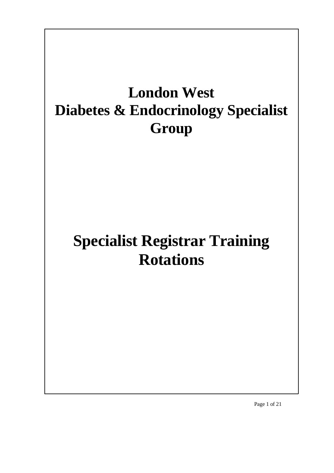# **London West Diabetes & Endocrinology Specialist Group**

# **Specialist Registrar Training Rotations**

Page 1 of 21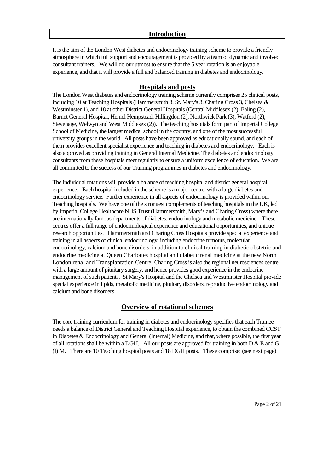# **Introduction**

It is the aim of the London West diabetes and endocrinology training scheme to provide a friendly atmosphere in which full support and encouragement is provided by a team of dynamic and involved consultant trainers. We will do our utmost to ensure that the 5 year rotation is an enjoyable experience, and that it will provide a full and balanced training in diabetes and endocrinology.

# **Hospitals and posts**

The London West diabetes and endocrinology training scheme currently comprises 25 clinical posts, including 10 at Teaching Hospitals (Hammersmith 3, St. Mary's 3, Charing Cross 3, Chelsea & Westminster 1), and 18 at other District General Hospitals (Central Middlesex (2), Ealing (2), Barnet General Hospital, Hemel Hempstead, Hillingdon (2), Northwick Park (3), Watford (2), Stevenage, Welwyn and West Middlesex (2)). The teaching hospitals form part of Imperial College School of Medicine, the largest medical school in the country, and one of the most successful university groups in the world. All posts have been approved as educationally sound, and each of them provides excellent specialist experience and teaching in diabetes and endocrinology. Each is also approved as providing training in General Internal Medicine. The diabetes and endocrinology consultants from these hospitals meet regularly to ensure a uniform excellence of education. We are all committed to the success of our Training programmes in diabetes and endocrinology.

The individual rotations will provide a balance of teaching hospital and district general hospital experience. Each hospital included in the scheme is a major centre, with a large diabetes and endocrinology service. Further experience in all aspects of endocrinology is provided within our Teaching hospitals. We have one of the strongest complements of teaching hospitals in the UK, led by Imperial College Healthcare NHS Trust (Hammersmith, Mary's and Charing Cross) where there are internationally famous departments of diabetes, endocrinology and metabolic medicine. These centres offer a full range of endocrinological experience and educational opportunities, and unique research opportunities. Hammersmith and Charing Cross Hospitals provide special experience and training in all aspects of clinical endocrinology, including endocrine tumours, molecular endocrinology, calcium and bone disorders, in addition to clinical training in diabetic obstetric and endocrine medicine at Queen Charlottes hospital and diabetic renal medicine at the new North London renal and Transplantation Centre. Charing Cross is also the regional neurosciences centre, with a large amount of pituitary surgery, and hence provides good experience in the endocrine management of such patients. St Mary's Hospital and the Chelsea and Westminster Hospital provide special experience in lipids, metabolic medicine, pituitary disorders, reproductive endocrinology and calcium and bone disorders.

# **Overview of rotational schemes**

The core training curriculum for training in diabetes and endocrinology specifies that each Trainee needs a balance of District General and Teaching Hospital experience, to obtain the combined CCST in Diabetes & Endocrinology and General (Internal) Medicine, and that, where possible, the first year of all rotations shall be within a DGH. All our posts are approved for training in both  $D \& E$  and G (I) M. There are 10 Teaching hospital posts and 18 DGH posts. These comprise: (see next page)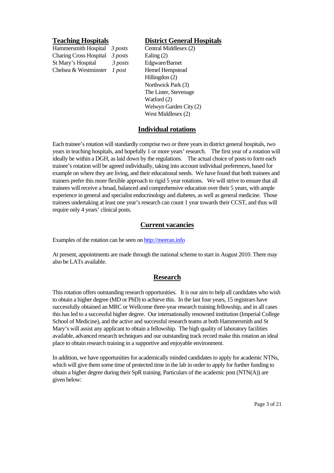Hammersmith Hospital *3 posts* Central Middlesex (2) Charing Cross Hospital *3 posts* Ealing (2) St Mary's Hospital *3 posts* Edgware/Barnet Chelsea & Westminster *1 post* Hemel Hempstead

# **Teaching Hospitals District General Hospitals**

Hillingdon (2) Northwick Park (3) The Lister, Stevenage Watford (2) Welwyn Garden City (2) West Middlesex (2)

# **Individual rotations**

Each trainee's rotation will standardly comprise two or three years in district general hospitals, two years in teaching hospitals, and hopefully 1 or more years' research. The first year of a rotation will ideally be within a DGH, as laid down by the regulations. The actual choice of posts to form each trainee's rotation will be agreed individually, taking into account individual preferences, based for example on where they are living, and their educational needs. We have found that both trainees and trainers prefer this more flexible approach to rigid 5 year rotations. We will strive to ensure that all trainees will receive a broad, balanced and comprehensive education over their 5 years, with ample experience in general and specialist endocrinology and diabetes, as well as general medicine. Those trainees undertaking at least one year's research can count 1 year towards their CCST, and thus will require only 4 years' clinical posts.

# **Current vacancies**

Examples of the rotation can be seen on http://meeran.info

At present, appointments are made through the national scheme to start in August 2010. There may also be LATs available.

# **Research**

This rotation offers outstanding research opportunities. It is our aim to help all candidates who wish to obtain a higher degree (MD or PhD) to achieve this. In the last four years, 15 registrars have successfully obtained an MRC or Wellcome three-year research training fellowship, and in all cases this has led to a successful higher degree. Our internationally renowned institution (Imperial College School of Medicine), and the active and successful research teams at both Hammersmith and St Mary's will assist any applicant to obtain a fellowship. The high quality of laboratory facilities available, advanced research techniques and our outstanding track record make this rotation an ideal place to obtain research training in a supportive and enjoyable environment.

In addition, we have opportunities for academically minded candidates to apply for academic NTNs, which will give them some time of protected time in the lab in order to apply for further funding to obtain a higher degree during their SpR training. Particulars of the academic post (NTN(A)) are given below: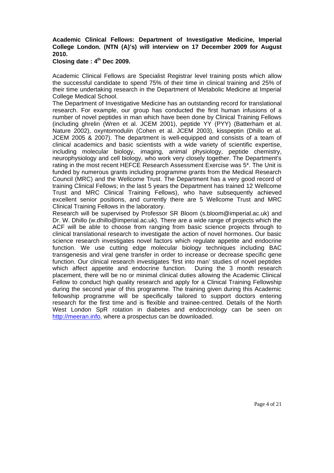# **Academic Clinical Fellows: Department of Investigative Medicine, Imperial College London. (NTN (A)'s) will interview on 17 December 2009 for August 2010.**

# **Closing date : 4th Dec 2009.**

Academic Clinical Fellows are Specialist Registrar level training posts which allow the successful candidate to spend 75% of their time in clinical training and 25% of their time undertaking research in the Department of Metabolic Medicine at Imperial College Medical School.

The Department of Investigative Medicine has an outstanding record for translational research. For example, our group has conducted the first human infusions of a number of novel peptides in man which have been done by Clinical Training Fellows (including ghrelin (Wren et al. JCEM 2001), peptide YY (PYY) (Batterham et al. Nature 2002), oxyntomodulin (Cohen et al. JCEM 2003), kisspeptin (Dhillo et al. JCEM 2005 & 2007). The department is well-equipped and consists of a team of clinical academics and basic scientists with a wide variety of scientific expertise, including molecular biology, imaging, animal physiology, peptide chemistry, neurophysiology and cell biology, who work very closely together. The Department's rating in the most recent HEFCE Research Assessment Exercise was 5\*. The Unit is funded by numerous grants including programme grants from the Medical Research Council (MRC) and the Wellcome Trust. The Department has a very good record of training Clinical Fellows; in the last 5 years the Department has trained 12 Wellcome Trust and MRC Clinical Training Fellows), who have subsequently achieved excellent senior positions, and currently there are 5 Wellcome Trust and MRC Clinical Training Fellows in the laboratory.

Research will be supervised by Professor SR Bloom (s.bloom@imperial.ac.uk) and Dr. W. Dhillo (w.dhillo@imperial.ac.uk). There are a wide range of projects which the ACF will be able to choose from ranging from basic science projects through to clinical translational research to investigate the action of novel hormones. Our basic science research investigates novel factors which regulate appetite and endocrine function. We use cutting edge molecular biology techniques including BAC transgenesis and viral gene transfer in order to increase or decrease specific gene function. Our clinical research investigates 'first into man' studies of novel peptides which affect appetite and endocrine function. During the 3 month research placement, there will be no or minimal clinical duties allowing the Academic Clinical Fellow to conduct high quality research and apply for a Clinical Training Fellowship during the second year of this programme. The training given during this Academic fellowship programme will be specifically tailored to support doctors entering research for the first time and is flexible and trainee-centred. Details of the North West London SpR rotation in diabetes and endocrinology can be seen on http://meeran.info, where a prospectus can be downloaded.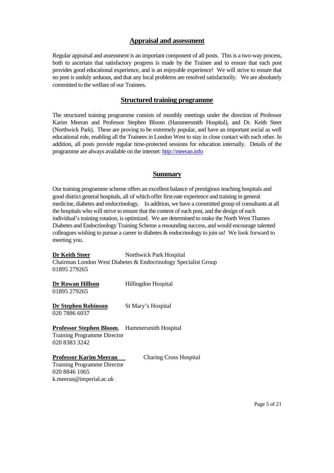# **Appraisal and assessment**

Regular appraisal and assessment is an important component of all posts. This is a two-way process, both to ascertain that satisfactory progress is made by the Trainee and to ensure that each post provides good educational experience, and is an enjoyable experience! We will strive to ensure that no post is unduly arduous, and that any local problems are resolved satisfactorily. We are absolutely committed to the welfare of our Trainees.

# **Structured training programme**

The structured training programme consists of monthly meetings under the direction of Professor Karim Meeran and Professor Stephen Bloom (Hammersmith Hospital), and Dr. Keith Steer (Northwick Park). These are proving to be extremely popular, and have an important social as well educational role, enabling all the Trainees in London West to stay in close contact with each other. In addition, all posts provide regular time-protected sessions for education internally. Details of the programme are always available on the internet: http://meeran.info

# **Summary**

Our training programme scheme offers an excellent balance of prestigious teaching hospitals and good district general hospitals, all of which offer first-rate experience and training in general medicine, diabetes and endocrinology. In addition, we have a committed group of consultants at all the hospitals who will strive to ensure that the content of each post, and the design of each individual's training rotation, is optimized. We are determined to make the North West Thames Diabetes and Endocrinology Training Scheme a resounding success, and would encourage talented colleagues wishing to pursue a career in diabetes & endocrinology to join us! We look forward to meeting you.

**Dr Keith Steer** Northwick Park Hospital Chairman London West Diabetes & Endocrinology Specialist Group 01895 279265

| Dr Rowan Hillson | Hillingdon Hospital |
|------------------|---------------------|
| 01895 279265     |                     |

**Dr Stephen Robinson** St Mary's Hospital 020 7886 6037

**Professor Stephen Bloom**, Hammersmith Hospital Training Programme Director

020 8383 3242

**Professor Karim Meeran** Charing Cross Hospital

Training Programme Director 020 8846 1065 k.meeran@imperial.ac.uk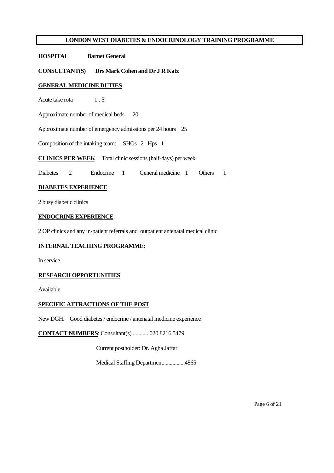# **HOSPITAL Barnet General**

**CONSULTANT(S) Drs Mark Cohen and Dr J R Katz**

#### **GENERAL MEDICINE DUTIES**

Acute take rota 1:5

Approximate number of medical beds 20

Approximate number of emergency admissions per 24 hours 25

Composition of the intaking team: SHOs 2 Hps 1

#### **CLINICS PER WEEK** Total clinic sessions (half-days) per week

Diabetes 2 Endocrine 1 General medicine 1 Others 1

#### **DIABETES EXPERIENCE**:

2 busy diabetic clinics

#### **ENDOCRINE EXPERIENCE**:

2 OP clinics and any in-patient referrals and outpatient antenatal medical clinic

# **INTERNAL TEACHING PROGRAMME**:

In service

### **RESEARCH OPPORTUNITIES**

Available

### **SPECIFIC ATTRACTIONS OF THE POST**

New DGH. Good diabetes / endocrine / antenatal medicine experience

**CONTACT NUMBERS**: Consultant(s).............020 8216 5479

Current postholder: Dr. Agha Jaffar

Medical Staffing Department:...............4865

Page 6 of 21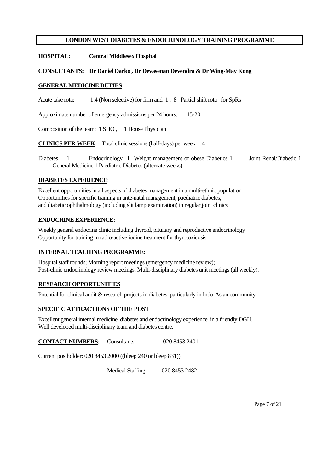**HOSPITAL: Central Middlesex Hospital**

#### **CONSULTANTS: Dr Daniel Darko , Dr Devasenan Devendra & Dr Wing-May Kong**

#### **GENERAL MEDICINE DUTIES**

Acute take rota: 1:4 (Non selective) for firm and 1:8 Partial shift rota for SpRs

Approximate number of emergency admissions per 24 hours: 15-20

Composition of the team: 1 SHO , 1 House Physician

**CLINICS PER WEEK** Total clinic sessions (half-days) per week 4

Diabetes 1 Endocrinology 1 Weight management of obese Diabetics 1 Joint Renal/Diabetic 1 General Medicine 1 Paediatric Diabetes (alternate weeks)

#### **DIABETES EXPERIENCE**:

Excellent opportunities in all aspects of diabetes management in a multi-ethnic population Opportunities for specific training in ante-natal management, paediatric diabetes, and diabetic ophthalmology (including slit lamp examination) in regular joint clinics

### **ENDOCRINE EXPERIENCE:**

Weekly general endocrine clinic including thyroid, pituitary and reproductive endocrinology Opportunity for training in radio-active iodine treatment for thyrotoxicosis

# **INTERNAL TEACHING PROGRAMME:**

Hospital staff rounds; Morning report meetings (emergency medicine review); Post-clinic endocrinology review meetings; Multi-disciplinary diabetes unit meetings (all weekly).

### **RESEARCH OPPORTUNITIES**

Potential for clinical audit & research projects in diabetes, particularly in Indo-Asian community

#### **SPECIFIC ATTRACTIONS OF THE POST**

Excellent general internal medicine, diabetes and endocrinology experience in a friendly DGH. Well developed multi-disciplinary team and diabetes centre.

**CONTACT NUMBERS**: Consultants: 020 8453 2401

Current postholder: 020 8453 2000 ((bleep 240 or bleep 831))

Medical Staffing: 020 8453 2482

Page 7 of 21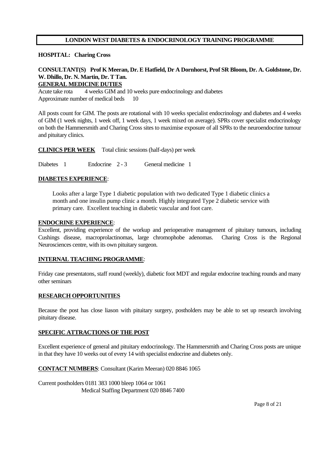#### **HOSPITAL: Charing Cross**

### **CONSULTANT(S) Prof K Meeran, Dr. E Hatfield, Dr A Dornhorst, Prof SR Bloom, Dr. A. Goldstone, Dr. W. Dhillo, Dr. N. Martin, Dr. T Tan. GENERAL MEDICINE DUTIES**

Acute take rota 4 weeks GIM and 10 weeks pure endocrinology and diabetes Approximate number of medical beds 10

All posts count for GIM. The posts are rotational with 10 weeks specialist endocrinology and diabetes and 4 weeks of GIM (1 week nights, 1 week off, 1 week days, 1 week mixed on average). SPRs cover specialist endocrinology on both the Hammersmith and Charing Cross sites to maximise exposure of all SPRs to the neuroendocrine tumour and pituitary clinics.

**CLINICS PER WEEK** Total clinic sessions (half-days) per week

Diabetes 1 Endocrine 2 - 3 General medicine 1

#### **DIABETES EXPERIENCE**:

Looks after a large Type 1 diabetic population with two dedicated Type 1 diabetic clinics a month and one insulin pump clinic a month. Highly integrated Type 2 diabetic service with primary care. Excellent teaching in diabetic vascular and foot care.

#### **ENDOCRINE EXPERIENCE**:

Excellent, providing experience of the workup and perioperative management of pituitary tumours, including Cushings disease, macroprolactinomas, large chromophobe adenomas. Charing Cross is the Regional Neurosciences centre, with its own pituitary surgeon.

#### **INTERNAL TEACHING PROGRAMME**:

Friday case presentatons, staff round (weekly), diabetic foot MDT and regular endocrine teaching rounds and many other seminars

#### **RESEARCH OPPORTUNITIES**

Because the post has close liason with pituitary surgery, postholders may be able to set up research involving pituitary disease.

#### **SPECIFIC ATTRACTIONS OF THE POST**

Excellent experience of general and pituitary endocrinology. The Hammersmith and Charing Cross posts are unique in that they have 10 weeks out of every 14 with specialist endocrine and diabetes only.

**CONTACT NUMBERS**: Consultant (Karim Meeran) 020 8846 1065

Current postholders 0181 383 1000 bleep 1064 or 1061 Medical Staffing Department 020 8846 7400

Page 8 of 21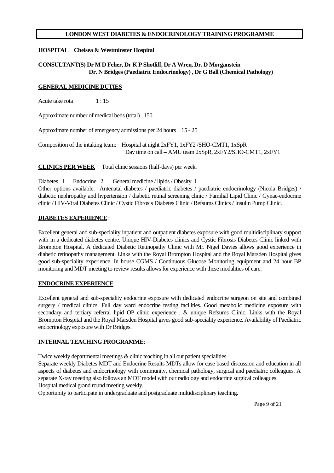# **HOSPITAL Chelsea & Westminster Hospital**

# **CONSULTANT(S) Dr M D Feher, Dr K P Shotliff, Dr A Wren, Dr. D Morganstein Dr. N Bridges (Paediatric Endocrinology) , Dr G Ball (Chemical Pathology)**

### **GENERAL MEDICINE DUTIES**

Acute take rota 1:15

Approximate number of medical beds (total) 150

Approximate number of emergency admissions per 24 hours 15 - 25

Composition of the intaking team: Hospital at night 2xFY1, 1xFY2 /SHO-CMT1, 1xSpR Day time on call – AMU team 2xSpR, 2xFY2/SHO-CMT1, 2xFY1

**CLINICS PER WEEK** Total clinic sessions (half-days) per week.

Diabetes 1 Endocrine 2 General medicine / lipids / Obesity 1

Other options available: Antenatal diabetes / paediatric diabetes / paediatric endocrinology (Nicola Bridges) / diabetic nephropathy and hypertension / diabetic retinal screening clinic / Familial Lipid Clinic / Gynae-endocrine clinic / HIV-Viral Diabetes Clinic / Cystic Fibrosis Diabetes Clinic / Refsums Clinics / Insulin Pump Clinic.

# **DIABETES EXPERIENCE**:

Excellent general and sub-speciality inpatient and outpatient diabetes exposure with good multidisciplinary support with in a dedicated diabetes centre. Unique HIV-Diabetes clinics and Cystic Fibrosis Diabetes Clinic linked with Brompton Hospital. A dedicated Diabetic Retinopathy Clinic with Mr. Nigel Davies allows good experience in diabetic retinopathy management. Links with the Royal Brompton Hospital and the Royal Marsden Hospital gives good sub-speciality experience. In house CGMS / Continuous Glucose Monitoring equipment and 24 hour BP monitoring and MDT meeting to review results allows for experience with these modalities of care.

### **ENDOCRINE EXPERIENCE**:

Excellent general and sub-speciality endocrine exposure with dedicated endocrine surgeon on site and combined surgery / medical clinics. Full day ward endocrine testing facilities. Good metabolic medicine exposure with secondary and tertiary referral lipid OP clinic experience, & unique Refsums Clinic. Links with the Royal Brompton Hospital and the Royal Marsden Hospital gives good sub-speciality experience. Availability of Paediatric endocrinology exposure with Dr Bridges.

### **INTERNAL TEACHING PROGRAMME**:

Twice weekly departmental meetings  $\&$  clinic teaching in all out patient specialities.

Separate weekly Diabetes MDT and Endocrine Results MDTs allow for case based discussion and education in all aspects of diabetes and endocrinology with community, chemical pathology, surgical and paediatric colleagues. A separate X-ray meeting also follows an MDT model with our radiology and endocrine surgical colleagues. Hospital medical grand round meeting weekly.

Opportunity to participate in undergraduate and postgraduate multidisciplinary teaching.

Page 9 of 21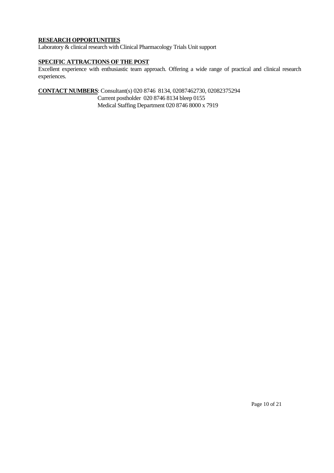# **RESEARCH OPPORTUNITIES**

Laboratory & clinical research with Clinical Pharmacology Trials Unit support

# **SPECIFIC ATTRACTIONS OF THE POST**

Excellent experience with enthusiastic team approach. Offering a wide range of practical and clinical research experiences.

**CONTACT NUMBERS**: Consultant(s) 020 8746 8134, 02087462730, 02082375294

Current postholder 020 8746 8134 bleep 0155

Medical Staffing Department 020 8746 8000 x 7919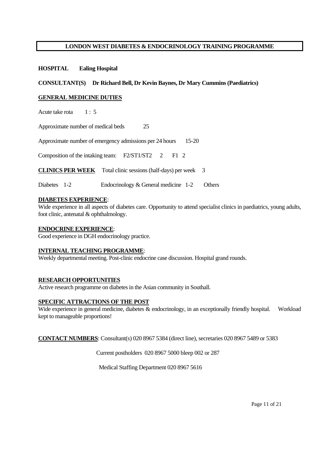### **HOSPITAL Ealing Hospital**

#### **CONSULTANT(S) Dr Richard Bell, Dr Kevin Baynes, Dr Mary Cummins (Paediatrics)**

#### **GENERAL MEDICINE DUTIES**

Acute take rota 1: 5

Approximate number of medical beds 25

Approximate number of emergency admissions per 24 hours 15-20

Composition of the intaking team: F2/ST1/ST2 2 F1 2

**CLINICS PER WEEK** Total clinic sessions (half-days) per week 3

Diabetes 1-2 Endocrinology & General medicine 1-2 Others

### **DIABETES EXPERIENCE**:

Wide experience in all aspects of diabetes care. Opportunity to attend specialist clinics in paediatrics, young adults, foot clinic, antenatal & ophthalmology.

#### **ENDOCRINE EXPERIENCE**:

Good experience in DGH endocrinology practice.

#### **INTERNAL TEACHING PROGRAMME**:

Weekly departmental meeting. Post-clinic endocrine case discussion. Hospital grand rounds.

#### **RESEARCH OPPORTUNITIES**

Active research programme on diabetes in the Asian community in Southall.

#### **SPECIFIC ATTRACTIONS OF THE POST**

Wide experience in general medicine, diabetes & endocrinology, in an exceptionally friendly hospital. Workload kept to manageable proportions!

**CONTACT NUMBERS**: Consultant(s) 020 8967 5384 (direct line), secretaries 020 8967 5489 or 5383

Current postholders 020 8967 5000 bleep 002 or 287

Medical Staffing Department 020 8967 5616

Page 11 of 21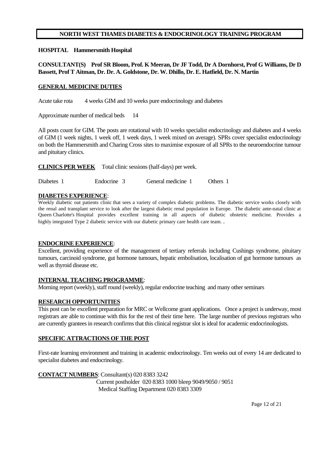# **NORTH WEST THAMES DIABETES & ENDOCRINOLOGY TRAINING PROGRAM**

#### **HOSPITAL Hammersmith Hospital**

# **CONSULTANT(S) Prof SR Bloom, Prof. K Meeran, Dr JF Todd, Dr A Dornhorst, Prof G Williams, Dr D Bassett, Prof T Aitman, Dr. Dr. A. Goldstone, Dr. W. Dhillo, Dr. E. Hatfield, Dr. N. Martin**

#### **GENERAL MEDICINE DUTIES**

Acute take rota 4 weeks GIM and 10 weeks pure endocrinology and diabetes

Approximate number of medical beds 14

All posts count for GIM. The posts are rotational with 10 weeks specialist endocrinology and diabetes and 4 weeks of GIM (1 week nights, 1 week off, 1 week days, 1 week mixed on average). SPRs cover specialist endocrinology on both the Hammersmith and Charing Cross sites to maximise exposure of all SPRs to the neuroendocrine tumour and pituitary clinics.

**CLINICS PER WEEK** Total clinic sessions (half-days) per week.

Diabetes 1 Endocrine 3 General medicine 1 Others 1

#### **DIABETES EXPERIENCE**:

Weekly diabetic out patients clinic that sees a variety of complex diabetic problems. The diabetic service works closely with the renal and transplant service to look after the largest diabetic renal population in Europe. The diabetic ante-natal clinic at Queen Charlotte's Hospital provides excellent training in all aspects of diabetic obstetric medicine. Provides a highly integrated Type 2 diabetic service with our diabetic primary care health care team. .

### **ENDOCRINE EXPERIENCE**:

Excellent, providing experience of the management of tertiary referrals including Cushings syndrome, pituitary tumours, carcinoid syndrome, gut hormone tumours, hepatic embolisation, localisation of gut hormone tumours as well as thyroid disease etc.

### **INTERNAL TEACHING PROGRAMME**:

Morning report (weekly), staff round (weekly), regular endocrine teaching and many other seminars

### **RESEARCH OPPORTUNITIES**

This post can be excellent preparation for MRC or Wellcome grant applications. Once a project is underway, most registrars are able to continue with this for the rest of their time here. The large number of previous registrars who are currently grantees in research confirms that this clinical registrar slot is ideal for academic endocrinologists.

#### **SPECIFIC ATTRACTIONS OF THE POST**

First-rate learning environment and training in academic endocrinology. Ten weeks out of every 14 are dedicated to specialist diabetes and endocrinology.

### **CONTACT NUMBERS**: Consultant(s) 020 8383 3242

 Current postholder 020 8383 1000 bleep 9049/9050 / 9051 Medical Staffing Department 020 8383 3309

Page 12 of 21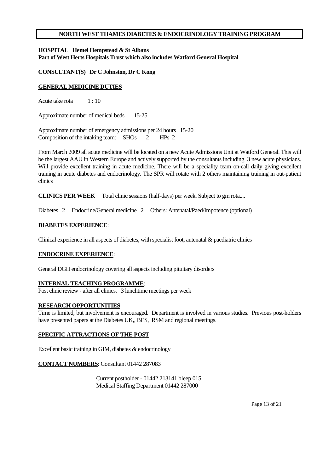### **NORTH WEST THAMES DIABETES & ENDOCRINOLOGY TRAINING PROGRAM**

**HOSPITAL Hemel Hempstead & St Albans Part of West Herts Hospitals Trust which also includes Watford General Hospital**

### **CONSULTANT(S) Dr C Johnston, Dr C Kong**

### **GENERAL MEDICINE DUTIES**

Acute take rota 1:10

Approximate number of medical beds 15-25

Approximate number of emergency admissions per 24 hours 15-20 Composition of the intaking team: SHOs 2 HPs 2

From March 2009 all acute medicine will be located on a new Acute Admissions Unit at Watford General. This will be the largest AAU in Western Europe and actively supported by the consultants including 3 new acute physicians. Will provide excellent training in acute medicine. There will be a speciality team on-call daily giving excellent training in acute diabetes and endocrinology. The SPR will rotate with 2 others maintaining training in out-patient clinics

**CLINICS PER WEEK** Total clinic sessions (half-days) per week. Subject to gm rota....

Diabetes 2 Endocrine/General medicine 2 Others: Antenatal/Paed/Impotence (optional)

#### **DIABETES EXPERIENCE**:

Clinical experience in all aspects of diabetes, with specialist foot, antenatal  $\&$  paediatric clinics

# **ENDOCRINE EXPERIENCE**:

General DGH endocrinology covering all aspects including pituitary disorders

### **INTERNAL TEACHING PROGRAMME**:

Post clinic review - after all clinics. 3 lunchtime meetings per week

#### **RESEARCH OPPORTUNITIES**

Time is limited, but involvement is encouraged. Department is involved in various studies. Previous post-holders have presented papers at the Diabetes UK,, BES, RSM and regional meetings.

# **SPECIFIC ATTRACTIONS OF THE POST**

Excellent basic training in GIM, diabetes & endocrinology

### **CONTACT NUMBERS**: Consultant 01442 287083

 Current postholder - 01442 213141 bleep 015 Medical Staffing Department 01442 287000

Page 13 of 21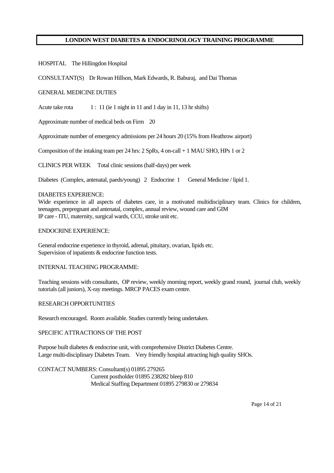HOSPITAL The Hillingdon Hospital

CONSULTANT(S) Dr Rowan Hillson, Mark Edwards, R. Baburaj, and Dai Thomas

#### GENERAL MEDICINE DUTIES

Acute take rota 1 : 11 (ie 1 night in 11 and 1 day in 11, 13 hr shifts)

Approximate number of medical beds on Firm 20

Approximate number of emergency admissions per 24 hours 20 (15% from Heathrow airport)

Composition of the intaking team per 24 hrs:  $2$  SpRs,  $4$  on-call  $+1$  MAU SHO, HPs 1 or 2

CLINICS PER WEEK Total clinic sessions (half-days) per week

Diabetes (Complex, antenatal, paeds/young) 2 Endocrine 1 General Medicine / lipid 1.

#### DIABETES EXPERIENCE:

Wide experience in all aspects of diabetes care, in a motivated multidisciplinary team. Clinics for children, teenagers, prepregnant and antenatal, complex, annual review, wound care and GIM IP care - ITU, maternity, surgical wards, CCU, stroke unit etc.

#### ENDOCRINE EXPERIENCE:

General endocrine experience in thyroid, adrenal, pituitary, ovarian, lipids etc. Supervision of inpatients & endocrine function tests.

#### INTERNAL TEACHING PROGRAMME:

Teaching sessions with consultants, OP review, weekly morning report, weekly grand round, journal club, weekly tutorials (all juniors), X-ray meetings. MRCP PACES exam centre.

### RESEARCH OPPORTUNITIES

Research encouraged. Room available. Studies currently being undertaken.

### SPECIFIC ATTRACTIONS OF THE POST

Purpose built diabetes & endocrine unit, with comprehensive District Diabetes Centre. Large multi-disciplinary Diabetes Team. Very friendly hospital attracting high quality SHOs.

CONTACT NUMBERS: Consultant(s) 01895 279265 Current postholder 01895 238282 bleep 810 Medical Staffing Department 01895 279830 or 279834

Page 14 of 21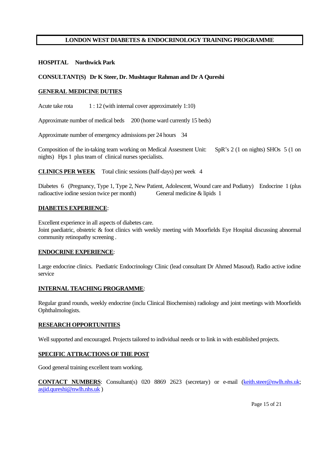#### **HOSPITAL Northwick Park**

#### **CONSULTANT(S) Dr K Steer, Dr. Mushtaqur Rahman and Dr A Qureshi**

#### **GENERAL MEDICINE DUTIES**

Acute take rota 1 : 12 (with internal cover approximately 1:10)

Approximate number of medical beds 200 (home ward currently 15 beds)

Approximate number of emergency admissions per 24 hours 34

Composition of the in-taking team working on Medical Assesment Unit: SpR's 2 (1 on nights) SHOs 5 (1 on nights) Hps 1 plus team of clinical nurses specialists.

**CLINICS PER WEEK** Total clinic sessions (half-days) per week 4

Diabetes 6 (Pregnancy, Type 1, Type 2, New Patient, Adolescent, Wound care and Podiatry) Endocrine 1 (plus radioactive iodine session twice per month) General medicine & lipids 1

#### **DIABETES EXPERIENCE**:

Excellent experience in all aspects of diabetes care.

Joint paediatric, obstetric & foot clinics with weekly meeting with Moorfields Eye Hospital discussing abnormal community retinopathy screening .

#### **ENDOCRINE EXPERIENCE**:

Large endocrine clinics. Paediatric Endocrinology Clinic (lead consultant Dr Ahmed Masoud). Radio active iodine service

### **INTERNAL TEACHING PROGRAMME**:

Regular grand rounds, weekly endocrine (inclu Clinical Biochemists) radiology and joint meetings with Moorfields Ophthalmologists.

#### **RESEARCH OPPORTUNITIES**

Well supported and encouraged. Projects tailored to individual needs or to link in with established projects.

#### **SPECIFIC ATTRACTIONS OF THE POST**

Good general training excellent team working.

**CONTACT NUMBERS**: Consultant(s) 020 8869 2623 (secretary) or e-mail (keith.steer@nwlh.nhs.uk; asjid.qureshi@nwlh.nhs.uk )

Page 15 of 21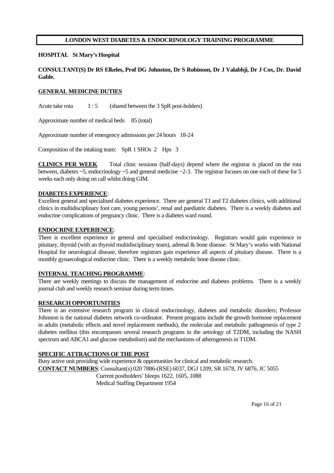#### **HOSPITAL St Mary's Hospital**

# **CONSULTANT(S) Dr RS Elkeles, Prof DG Johnston, Dr S Robinson, Dr J Valabhji, Dr J Cox, Dr. David Gable.**

#### **GENERAL MEDICINE DUTIES**

Acute take rota 1 : 5 (shared between the 3 SpR post-holders)

Approximate number of medical beds 85 (total)

Approximate number of emergency admissions per 24 hours 18-24

Composition of the intaking team: SpR 1 SHOs 2 Hps 3

**CLINICS PER WEEK** Total clinic sessions (half-days) depend where the registrar is placed on the rota between, diabetes ~5, endocrinology ~5 and general medicine ~2-3. The registrar focuses on one each of these for 5 weeks each only doing on call whilst doing GIM.

#### **DIABETES EXPERIENCE**:

Excellent general and specialised diabetes experience. There are general T1 and T2 diabetes clinics, with additional clinics in multidisciplinary foot care, young persons', renal and paediatric diabetes. There is a weekly diabetes and endocrine complications of pregnancy clinic. There is a diabetes ward round.

#### **ENDOCRINE EXPERIENCE**:

There is excellent experience in general and specialised endocrinology. Registrars would gain experience in pituitary, thyroid (with an thyroid multidisciplinary team), adrenal & bone disease. St Mary's works with National Hospital for neurological disease, therefore registrars gain experience all aspects of pituitary disease. There is a monthly gynaecological endocrine clinic. There is a weekly metabolic bone disease clinic.

#### **INTERNAL TEACHING PROGRAMME**:

There are weekly meetings to discuss the management of endocrine and diabetes problems. There is a weekly journal club and weekly research seminar during term times.

### **RESEARCH OPPORTUNITIES**

There is an extensive research program in clinical endocrinology, diabetes and metabolic disorders; Professor Johnston is the national diabetes network co-ordinator. Present programs include the growth hormone replacement in adults (metabolic effects and novel replacement methods), the molecular and metabolic pathogenesis of type 2 diabetes mellitus (this encompasses several research programs in the aetiology of T2DM, including the NASH spectrum and ABCA1 and glucose metabolism) and the mechanisms of atherogenesis in T1DM.

#### **SPECIFIC ATTRACTIONS OF THE POST**

Busy active unit providing wide experience & opportunities for clinical and metabolic research. **CONTACT NUMBERS**: Consultant(s) 020 7886-(RSE) 6037, DGJ 1209, SR 1678, JV 6876, JC 5055 Current postholders' bleeps 1622, 1605, 1088 Medical Staffing Department 1954

Page 16 of 21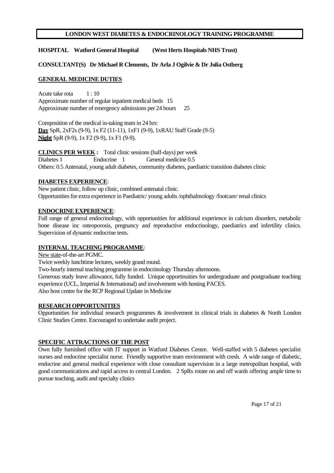**HOSPITAL Watford General Hospital (West Herts Hospitals NHS Trust)**

# **CONSULTANT(S) Dr Michael R Clements, Dr Arla J Ogilvie & Dr Julia Ostberg**

### **GENERAL MEDICINE DUTIES**

Acute take rota 1:10 Approximate number of regular inpatient medical beds 15 Approximate number of emergency admissions per 24 hours 25

Composition of the medical in-taking team in 24 hrs: **Day** SpR, 2xF2s (9-9), 1x F2 (11-11), 1xF1 (9-9), 1xRAU Staff Grade (9-5) **Night** SpR (9-9), 1x F2 (9-9), 1x F1 (9-9).

**CLINICS PER WEEK :** Total clinic sessions (half-days) per week Diabetes 1 Endocrine 1 General medicine 0.5 Others: 0.5 Antenatal, young adult diabetes, community diabetes, paediatric transition diabetes clinic

### **DIABETES EXPERIENCE**:

New patient clinic, follow up clinic, combined antenatal clinic. Opportunities for extra experience in Paediatric/ young adults /ophthalmology /footcare/ renal clinics

# **ENDOCRINE EXPERIENCE**:

Full range of general endocrinology, with opportunities for additional experience in calcium disorders, metabolic bone disease inc osteoporosis, pregnancy and reproductive endocrinology, paediatrics and infertility clinics. Supervision of dynamic endocrine tests.

# **INTERNAL TEACHING PROGRAMME**:

New state-of-the-art PGMC.

Twice weekly lunchtime lectures, weekly grand round.

Two-hourly internal teaching programme in endocrinology Thursday afternoons.

Generous study leave allowance, fully funded. Unique opportinuities for undergraduate and postgraduate teaching experience (UCL, Imperial & International) and involvement with hosting PACES.

Also host centre for the RCP Regional Update in Medicine

# **RESEARCH OPPORTUNITIES**

Opportunities for individual research programmes & involvement in clinical trials in diabetes & North London Clinic Studies Centre. Encouraged to undertake audit project.

# **SPECIFIC ATTRACTIONS OF THE POST**

Own fully furnished office with IT support in Watford Diabetes Centre. Well-staffed with 5 diabetes specialist nurses and endocrine specialist nurse. Friendly supportive team environment with cresh. A wide range of diabetic, endocrine and general medical experience with close consultant supervision in a large metropolitan hospital, with good communications and rapid access to central London. 2 SpRs rotate on and off wards offering ample time to pursue teaching, audit and specialty clinics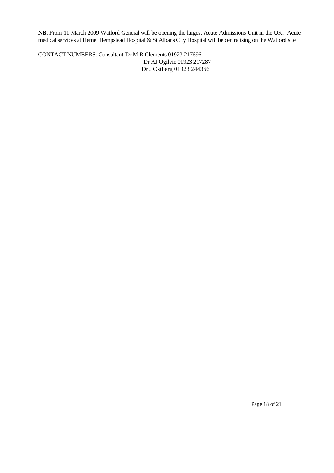**NB.** From 11 March 2009 Watford General will be opening the largest Acute Admissions Unit in the UK. Acute medical services at Hemel Hempstead Hospital & St Albans City Hospital will be centralising on the Watford site

CONTACT NUMBERS: Consultant Dr M R Clements 01923 217696 Dr AJ Ogilvie 01923 217287 Dr J Ostberg 01923 244366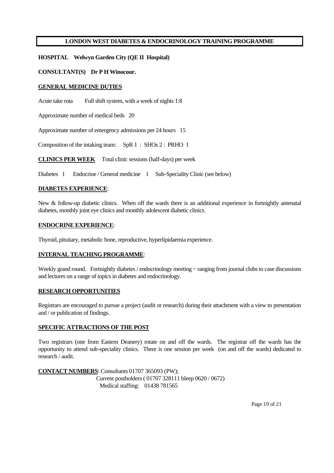# **HOSPITAL Welwyn Garden City (QE II Hospital)**

# **CONSULTANT(S) Dr P H Winocour.**

### **GENERAL MEDICINE DUTIES**

Acute take rota Full shift system, with a week of nights 1:8

Approximate number of medical beds 20

Approximate number of emergency admissions per 24 hours 15

Composition of the intaking team: SpR 1 : SHOs 2 : PRHO 1

**CLINICS PER WEEK** Total clinic sessions (half-days) per week

Diabetes 1 Endocrine / General medicine 1 Sub-Speciality Clinic (see below)

### **DIABETES EXPERIENCE**:

New & follow-up diabetic clinics. When off the wards there is an additional experience in fortnightly antenatal diabetes, monthly joint eye clinics and monthly adolescent diabetic clinics.

### **ENDOCRINE EXPERIENCE**:

Thyroid, pituitary, metabolic bone, reproductive, hyperlipidaemia experience.

### **INTERNAL TEACHING PROGRAMME**:

Weekly grand round. Fortnightly diabetes / endocrinology meeting ~ ranging from journal clubs to case discussions and lectures on a range of topics in diabetes and endocrinology.

### **RESEARCH OPPORTUNITIES**

Registrars are encouraged to pursue a project (audit or research) during their attachment with a view to presentation and / or publication of findings.

### **SPECIFIC ATTRACTIONS OF THE POST**

Two registrars (one from Eastern Deanery) rotate on and off the wards. The registrar off the wards has the opportunity to attend sub-speciality clinics. There is one session per week (on and off the wards) dedicated to research / audit.

**CONTACT NUMBERS**: Consultants 01707 365093 (PW); Current postholders ( 01707 328111 bleep 0620 / 0672) Medical staffing: 01438 781565

Page 19 of 21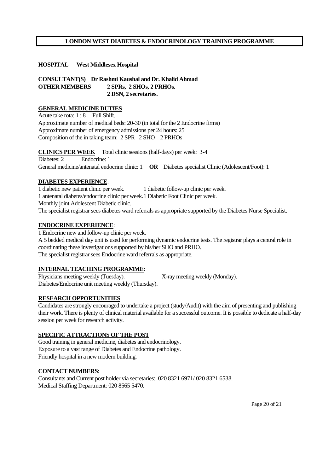# **HOSPITAL West Middlesex Hospital**

**CONSULTANT(S) Dr Rashmi Kaushal and Dr. Khalid Ahmad OTHER MEMBERS 2 SPRs, 2 SHOs, 2 PRHOs. 2 DSN, 2 secretaries.**

# **GENERAL MEDICINE DUTIES**

Acute take rota: 1 : 8 Full Shift. Approximate number of medical beds: 20-30 (in total for the 2 Endocrine firms) Approximate number of emergency admissions per 24 hours: 25 Composition of the in taking team: 2 SPR 2 SHO 2 PRHOs

**CLINICS PER WEEK** Total clinic sessions (half-days) per week: 3-4 Diabetes: 2 Endocrine: 1 General medicine/antenatal endocrine clinic: 1 **OR** Diabetes specialist Clinic (Adolescent/Foot): 1

# **DIABETES EXPERIENCE**:

1 diabetic new patient clinic per week. 1 diabetic follow-up clinic per week. 1 antenatal diabetes/endocrine clinic per week.1 Diabetic Foot Clinic per week. Monthly joint Adolescent Diabetic clinic. The specialist registrar sees diabetes ward referrals as appropriate supported by the Diabetes Nurse Specialist.

# **ENDOCRINE EXPERIENCE**:

1 Endocrine new and follow-up clinic per week. A 5 bedded medical day unit is used for performing dynamic endocrine tests. The registrar plays a central role in coordinating these investigations supported by his/her SHO and PRHO. The specialist registrar sees Endocrine ward referrals as appropriate.

# **INTERNAL TEACHING PROGRAMME**:

Physicians meeting weekly (Tuesday). X-ray meeting weekly (Monday). Diabetes/Endocrine unit meeting weekly (Thursday).

# **RESEARCH OPPORTUNITIES**

Candidates are strongly encouraged to undertake a project (study/Audit) with the aim of presenting and publishing their work. There is plenty of clinical material available for a successful outcome. It is possible to dedicate a half-day session per week for research activity.

### **SPECIFIC ATTRACTIONS OF THE POST**

Good training in general medicine, diabetes and endocrinology. Exposure to a vast range of Diabetes and Endocrine pathology. Friendly hospital in a new modern building.

### **CONTACT NUMBERS**:

Consultants and Current post holder via secretaries: 020 8321 6971/ 020 8321 6538. Medical Staffing Department: 020 8565 5470.

Page 20 of 21